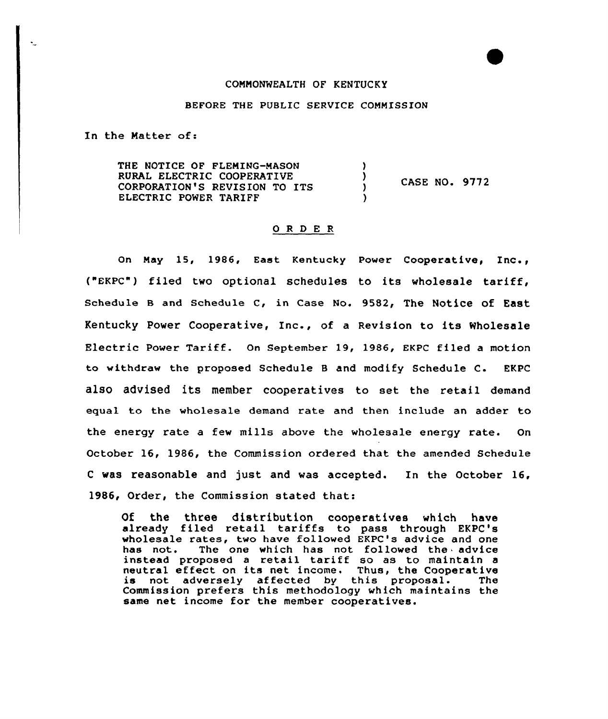## COMMONWEALTH OF KENTUCKY

## BEFORE THE PUBLIC SERVICE COMMISSION

In the Matter of:

THE NOTICE OF FLEMING-MASON RURAL ELECTRIC COOPERATIVE  $\lambda$ CASE NO. 9772 CORPORATION'S REVISION TO ITS  $\mathcal{L}$ ELECTRIC POWER TARIFF

## O R D E R

on May 15, 1986, East Kentucky power Cooperative, Inc., ("EKPC") filed two optional schedules to its wholesale tariff, Schedule B and Schedule C, in Case No. 9582, The Notice of East Kentucky Power Cooperative, Inc., of <sup>a</sup> Revision to its Wholesale Electric Power Tariff. On September 19, 1986, EKPC filed a motion to withdraw the proposed Schedule B and modify Schedule C. EKPC also advised its member cooperatives to set the retail demand equal to the wholesale demand rate and then include an adder to the energy rate a few mills above the wholesale energy rate. On October 16, 1986, the Commission ordered that the amended Schedule <sup>C</sup> was reasonable and just and was accepted. In the October 16, 1986, Order, the Commission stated that:

Of the three distribution cooperatives which have already filed retail tariffs to pass through EKPC's wholesale rates, two have followed EKPC's advice and one has not. The one which has not followed the advice The one which has not followed the advice instead proposed a retail tariff so as to maintain a neutral effect on its net income. Thus, the Cooperative<br>is not adversely affected by this proposal. The Commission prefers this methodology which maintains the same net income for the member cooperatives.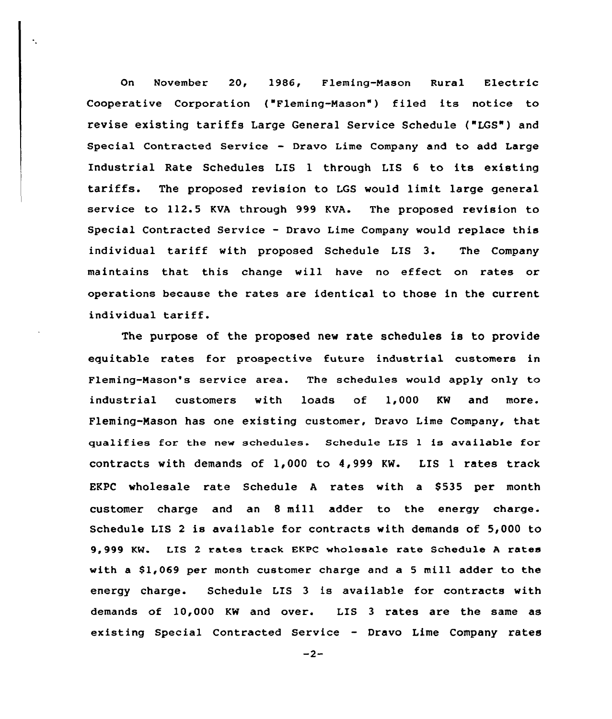On November 20, 1986, Fleming-Nasan Rural Electric Cooperative Corporation ( Fleming-Mason") filed its notice to revise existing tariffs Large General Service Schedule ("LGS") and Special Contracted Service — Dravo Lime Company and to add Large Industrial Rate Schedules LIS <sup>1</sup> through LIS <sup>6</sup> to its existing tariffs. The proposed revision to LGS would limit large general service to 112.5 KVA through 999 KVA. The proposed revision to Special Contracted Service - Dravo Lime Company would replace this individual tariff with propased Schedule LIS 3. The Company maintains that this change will have no effect on rates or operations because the rates are identical to those in the current individual tariff.

The purpose of the proposed new rate schedules is to provide equitable rates for prospective future industrial customers in Fleming-Nason's service area. The schedules would apply only to industrial customers with loads of 1,000 KW and more Fleming-Mason has one existing customer, Dravo Lime Company, that qualifies for the new schedules. Schedule LIS l is available for contracts with demands of 1,000 to 4,999 KW. LIS 1 rates track EKPC wholesale rate Schedule A rates with a \$535 per month custamer charge and an 8 mill adder to the energy charge. Schedule LIS <sup>2</sup> is available for contracts with demands of 5,000 to 9,999 KM. LTS <sup>2</sup> rates track EKPC wholesale rate Schedule <sup>A</sup> rates with a  $$1,069$  per month customer charge and a 5 mill adder to the energy charge. Schedule LIS 3 is available for contracts with demands of 10,000 KW and over. LIS 3 rates are the same as existing Special Contracted Service — Dravo Lime Company rates

 $-2-$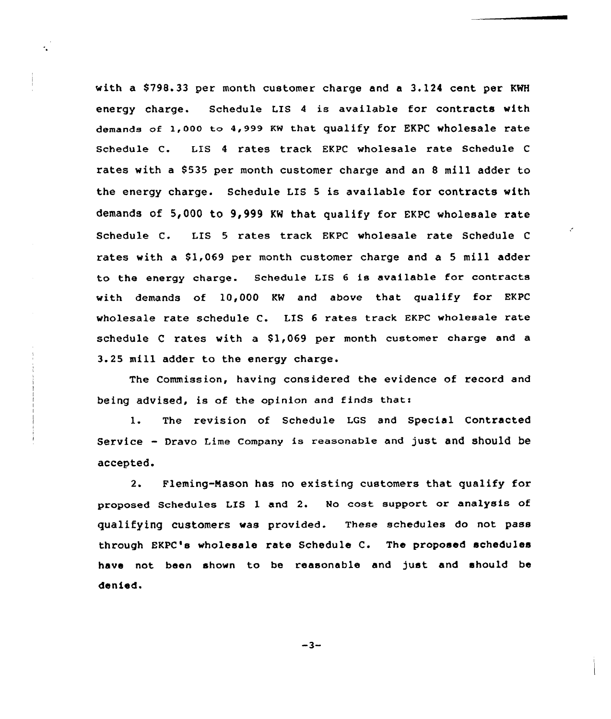with a \$798.33 per month customer charge and a 3.124 cent per KWH energy charge. Schedule LIS <sup>4</sup> is available for contracts with demands of 1,000 to 4,999 KW that qualify for EKPC wholesale rate Schedule C. LIS <sup>4</sup> rates track EKPC wholesale rate Schedule <sup>C</sup> rates with a 8535 per month customer charge and an <sup>8</sup> mill adder to the energy charge. Schedule LIS <sup>5</sup> is available for contracts with demands of 5,000 to 9,999 KW that qualify for EKPC wholesale rate Schedule C. LIS 5 rates track EKPC wholesale rate Schedule <sup>C</sup> rates with a  $$1,069$  per month customer charge and a 5 mill adder to the energy charge. Schedule LIS <sup>6</sup> is available for contracts with demands of 10,000 KW and above that qualify for EKPC wholesale rate schedule C. LIS <sup>6</sup> rates track EKPC wholesale rate schedule C rates with a \$1,069 per month customer charge and a 3.25 mill adder to the energy charge.

The Commission, having considered the evidence of record and being advised, is of the opinion and finds that:

1. The revision of Schedule LGS and Special Contracted Service — Dravo Lime company is reasonable and just and should be accepted.

2. Fleming-Nason has no existing customers that qualify for proposed Schedules LIS <sup>1</sup> and 2. No cost support or analysis of qualifying customers was provided. These schedules do not pass through EKPC's wholesale rate Schedule C. The proposed schedules have not been shown to be reasonable and just and should be denied.

 $-3-$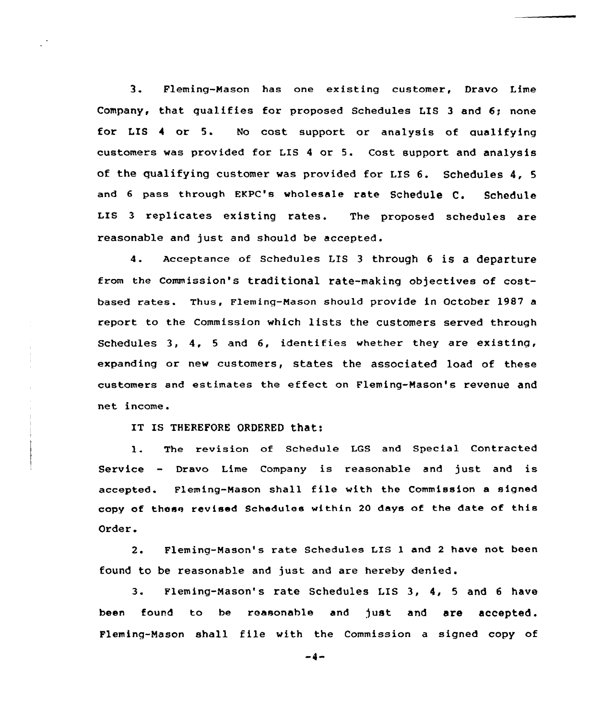3. Fleming-Nason has one existing customer, Dravo Lime Company, that qualifies for proposed Schedules LIS <sup>3</sup> and 6; none for LIS 4 or 5. No cost support or analysis of qualifying customers was provided for LIS <sup>4</sup> or 5. Cost support and analysis of the qualifying customer was provided for LIS 6. Schedules 4, <sup>5</sup> and 6 pass through EKPC's wholesale rate Schedule C. Schedule LIS <sup>3</sup> replicates existing rates. The proposed schedules are reasonable and just and should be accepted.

4. Acceptance of Schedules LIS <sup>3</sup> through <sup>6</sup> is <sup>a</sup> departure from the Commission's traditional rate-making objectives of costbased rates. Thus, Fleming-Nason should provide in October 1987 <sup>a</sup> report to the Commission which 1ists the customers served through Schedules 3, 4, <sup>5</sup> and 6, identifies whether they are existing, expanding or new customers, states the associated load of these customers and estimates the effect on Fleming-Mason's revenue and net income.

IT IS THEREFORE ORDERED that:

1. The revision of Schedule LGS and Special Contracted Service - Dravo Lime Company is reasonable and just and is accepted. Fleming-Mason shall file with the Commission <sup>a</sup> signed copy of these revised Schedules within <sup>20</sup> days of the date of this Order.

2. Fleming-Mason's rate Schedules LIS <sup>1</sup> and <sup>2</sup> have not been found to be reasonable and just and are hereby denied.

3. Fleming-Nason's rate Schedules LIS 3, 4, <sup>5</sup> and <sup>6</sup> have been found to be reasonable and just and are accepted. Fleming-Mason shall file with the Commission <sup>a</sup> signed copy of

 $-4-$